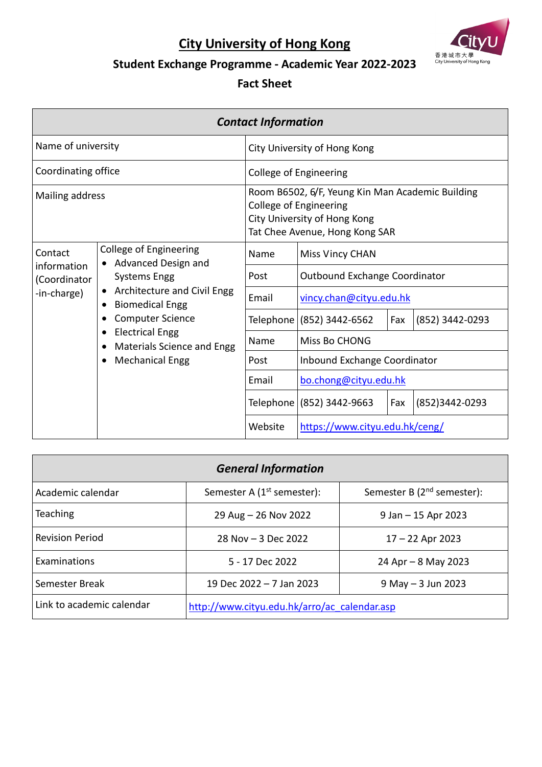## **City University of Hong Kong**



## **Student Exchange Programme - Academic Year 2022-2023**

## **Fact Sheet**

| <b>Contact Information</b>                                                                                                                                                                                                                                      |                                                                   |                                |                                                                                                                                                     |                |                 |
|-----------------------------------------------------------------------------------------------------------------------------------------------------------------------------------------------------------------------------------------------------------------|-------------------------------------------------------------------|--------------------------------|-----------------------------------------------------------------------------------------------------------------------------------------------------|----------------|-----------------|
| Name of university                                                                                                                                                                                                                                              |                                                                   |                                | City University of Hong Kong                                                                                                                        |                |                 |
| Coordinating office                                                                                                                                                                                                                                             |                                                                   |                                | <b>College of Engineering</b>                                                                                                                       |                |                 |
| Mailing address                                                                                                                                                                                                                                                 |                                                                   |                                | Room B6502, 6/F, Yeung Kin Man Academic Building<br><b>College of Engineering</b><br>City University of Hong Kong<br>Tat Chee Avenue, Hong Kong SAR |                |                 |
| Contact                                                                                                                                                                                                                                                         | <b>College of Engineering</b><br>Advanced Design and<br>$\bullet$ | Name                           | <b>Miss Vincy CHAN</b>                                                                                                                              |                |                 |
| (Coordinator                                                                                                                                                                                                                                                    | information<br>Systems Engg                                       | Post                           | Outbound Exchange Coordinator                                                                                                                       |                |                 |
| Architecture and Civil Engg<br>$\bullet$<br>-in-charge)<br><b>Biomedical Engg</b><br>$\bullet$<br><b>Computer Science</b><br>$\bullet$<br><b>Electrical Engg</b><br>$\bullet$<br>Materials Science and Engg<br>$\bullet$<br><b>Mechanical Engg</b><br>$\bullet$ | Email                                                             | vincy.chan@cityu.edu.hk        |                                                                                                                                                     |                |                 |
|                                                                                                                                                                                                                                                                 |                                                                   |                                | Telephone (852) 3442-6562                                                                                                                           | Fax            | (852) 3442-0293 |
|                                                                                                                                                                                                                                                                 | Name                                                              | Miss Bo CHONG                  |                                                                                                                                                     |                |                 |
|                                                                                                                                                                                                                                                                 | Post                                                              | Inbound Exchange Coordinator   |                                                                                                                                                     |                |                 |
|                                                                                                                                                                                                                                                                 | Email                                                             | bo.chong@cityu.edu.hk          |                                                                                                                                                     |                |                 |
|                                                                                                                                                                                                                                                                 |                                                                   | Telephone (852) 3442-9663      | Fax                                                                                                                                                 | (852)3442-0293 |                 |
|                                                                                                                                                                                                                                                                 | Website                                                           | https://www.cityu.edu.hk/ceng/ |                                                                                                                                                     |                |                 |

| <b>General Information</b> |                                              |                                 |
|----------------------------|----------------------------------------------|---------------------------------|
| Academic calendar          | Semester A $(1st$ semester):                 | Semester B $(2^{nd}$ semester): |
| <b>Teaching</b>            | 29 Aug - 26 Nov 2022                         | $9$ Jan $-15$ Apr 2023          |
| <b>Revision Period</b>     | 28 Nov $-$ 3 Dec 2022                        | $17 - 22$ Apr 2023              |
| Examinations               | 5 - 17 Dec 2022                              | 24 Apr $-$ 8 May 2023           |
| Semester Break             | 19 Dec 2022 - 7 Jan 2023                     | $9$ May $-3$ Jun 2023           |
| Link to academic calendar  | http://www.cityu.edu.hk/arro/ac calendar.asp |                                 |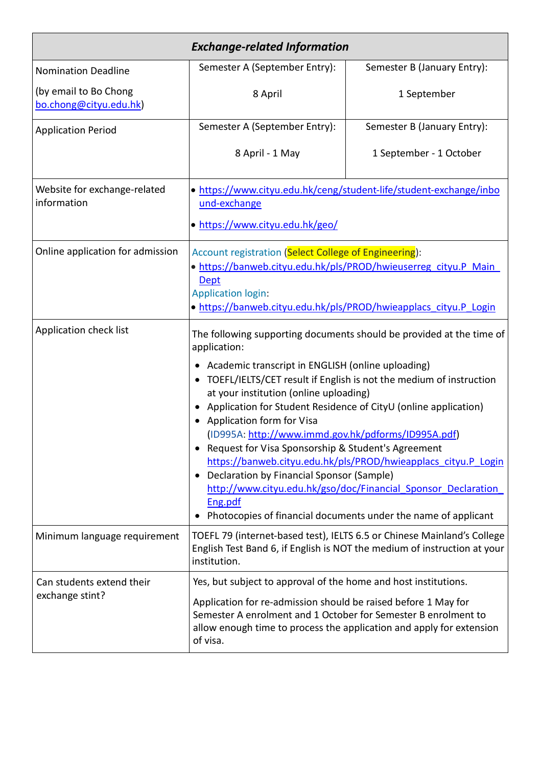| <b>Exchange-related Information</b>             |                                                                                                                                                                                                                                                                                                                                                                                                                                                                                                                                                                                                                                                                                                                                                                 |                             |  |
|-------------------------------------------------|-----------------------------------------------------------------------------------------------------------------------------------------------------------------------------------------------------------------------------------------------------------------------------------------------------------------------------------------------------------------------------------------------------------------------------------------------------------------------------------------------------------------------------------------------------------------------------------------------------------------------------------------------------------------------------------------------------------------------------------------------------------------|-----------------------------|--|
| <b>Nomination Deadline</b>                      | Semester A (September Entry):                                                                                                                                                                                                                                                                                                                                                                                                                                                                                                                                                                                                                                                                                                                                   | Semester B (January Entry): |  |
| (by email to Bo Chong<br>bo.chong@cityu.edu.hk) | 8 April                                                                                                                                                                                                                                                                                                                                                                                                                                                                                                                                                                                                                                                                                                                                                         | 1 September                 |  |
| <b>Application Period</b>                       | Semester A (September Entry):                                                                                                                                                                                                                                                                                                                                                                                                                                                                                                                                                                                                                                                                                                                                   | Semester B (January Entry): |  |
|                                                 | 8 April - 1 May                                                                                                                                                                                                                                                                                                                                                                                                                                                                                                                                                                                                                                                                                                                                                 | 1 September - 1 October     |  |
| Website for exchange-related<br>information     | • https://www.cityu.edu.hk/ceng/student-life/student-exchange/inbo<br>und-exchange<br>· https://www.cityu.edu.hk/geo/                                                                                                                                                                                                                                                                                                                                                                                                                                                                                                                                                                                                                                           |                             |  |
| Online application for admission                | Account registration (Select College of Engineering):<br>· https://banweb.cityu.edu.hk/pls/PROD/hwieuserreg cityu.P Main<br><b>Dept</b><br><b>Application login:</b><br>· https://banweb.cityu.edu.hk/pls/PROD/hwieapplacs cityu.P Login                                                                                                                                                                                                                                                                                                                                                                                                                                                                                                                        |                             |  |
| Application check list                          | The following supporting documents should be provided at the time of<br>application:<br>Academic transcript in ENGLISH (online uploading)<br>TOEFL/IELTS/CET result if English is not the medium of instruction<br>$\bullet$<br>at your institution (online uploading)<br>Application for Student Residence of CityU (online application)<br>• Application form for Visa<br>(ID995A: http://www.immd.gov.hk/pdforms/ID995A.pdf)<br>Request for Visa Sponsorship & Student's Agreement<br>https://banweb.cityu.edu.hk/pls/PROD/hwieapplacs_cityu.P_Login<br>Declaration by Financial Sponsor (Sample)<br>$\bullet$<br>http://www.cityu.edu.hk/gso/doc/Financial Sponsor Declaration<br>Eng.pdf<br>Photocopies of financial documents under the name of applicant |                             |  |
| Minimum language requirement                    | TOEFL 79 (internet-based test), IELTS 6.5 or Chinese Mainland's College<br>English Test Band 6, if English is NOT the medium of instruction at your<br>institution.                                                                                                                                                                                                                                                                                                                                                                                                                                                                                                                                                                                             |                             |  |
| Can students extend their<br>exchange stint?    | Yes, but subject to approval of the home and host institutions.<br>Application for re-admission should be raised before 1 May for<br>Semester A enrolment and 1 October for Semester B enrolment to<br>allow enough time to process the application and apply for extension<br>of visa.                                                                                                                                                                                                                                                                                                                                                                                                                                                                         |                             |  |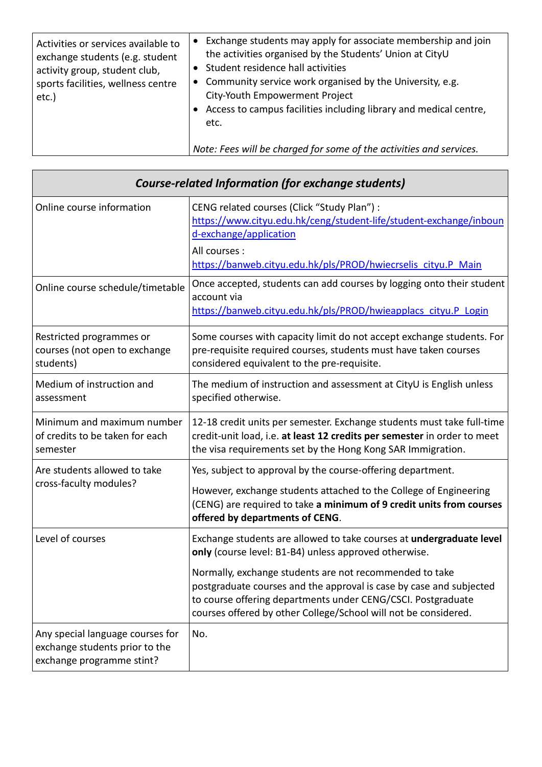| Activities or services available to<br>exchange students (e.g. student<br>activity group, student club,<br>sports facilities, wellness centre<br>etc.) | Exchange students may apply for associate membership and join<br>the activities organised by the Students' Union at CityU<br>Student residence hall activities<br>• Community service work organised by the University, e.g.<br>City-Youth Empowerment Project<br>• Access to campus facilities including library and medical centre,<br>etc. |
|--------------------------------------------------------------------------------------------------------------------------------------------------------|-----------------------------------------------------------------------------------------------------------------------------------------------------------------------------------------------------------------------------------------------------------------------------------------------------------------------------------------------|
|                                                                                                                                                        | Note: Fees will be charged for some of the activities and services.                                                                                                                                                                                                                                                                           |

| <b>Course-related Information (for exchange students)</b>                                       |                                                                                                                                                                                                                                                                   |  |
|-------------------------------------------------------------------------------------------------|-------------------------------------------------------------------------------------------------------------------------------------------------------------------------------------------------------------------------------------------------------------------|--|
| Online course information                                                                       | CENG related courses (Click "Study Plan") :<br>https://www.cityu.edu.hk/ceng/student-life/student-exchange/inboun<br>d-exchange/application                                                                                                                       |  |
|                                                                                                 | All courses :<br>https://banweb.cityu.edu.hk/pls/PROD/hwiecrselis cityu.P Main                                                                                                                                                                                    |  |
| Online course schedule/timetable                                                                | Once accepted, students can add courses by logging onto their student<br>account via<br>https://banweb.cityu.edu.hk/pls/PROD/hwieapplacs_cityu.P_Login                                                                                                            |  |
| Restricted programmes or<br>courses (not open to exchange<br>students)                          | Some courses with capacity limit do not accept exchange students. For<br>pre-requisite required courses, students must have taken courses<br>considered equivalent to the pre-requisite.                                                                          |  |
| Medium of instruction and<br>assessment                                                         | The medium of instruction and assessment at CityU is English unless<br>specified otherwise.                                                                                                                                                                       |  |
| Minimum and maximum number<br>of credits to be taken for each<br>semester                       | 12-18 credit units per semester. Exchange students must take full-time<br>credit-unit load, i.e. at least 12 credits per semester in order to meet<br>the visa requirements set by the Hong Kong SAR Immigration.                                                 |  |
| Are students allowed to take                                                                    | Yes, subject to approval by the course-offering department.                                                                                                                                                                                                       |  |
| cross-faculty modules?                                                                          | However, exchange students attached to the College of Engineering<br>(CENG) are required to take a minimum of 9 credit units from courses<br>offered by departments of CENG.                                                                                      |  |
| Level of courses                                                                                | Exchange students are allowed to take courses at undergraduate level<br>only (course level: B1-B4) unless approved otherwise.                                                                                                                                     |  |
|                                                                                                 | Normally, exchange students are not recommended to take<br>postgraduate courses and the approval is case by case and subjected<br>to course offering departments under CENG/CSCI. Postgraduate<br>courses offered by other College/School will not be considered. |  |
| Any special language courses for<br>exchange students prior to the<br>exchange programme stint? | No.                                                                                                                                                                                                                                                               |  |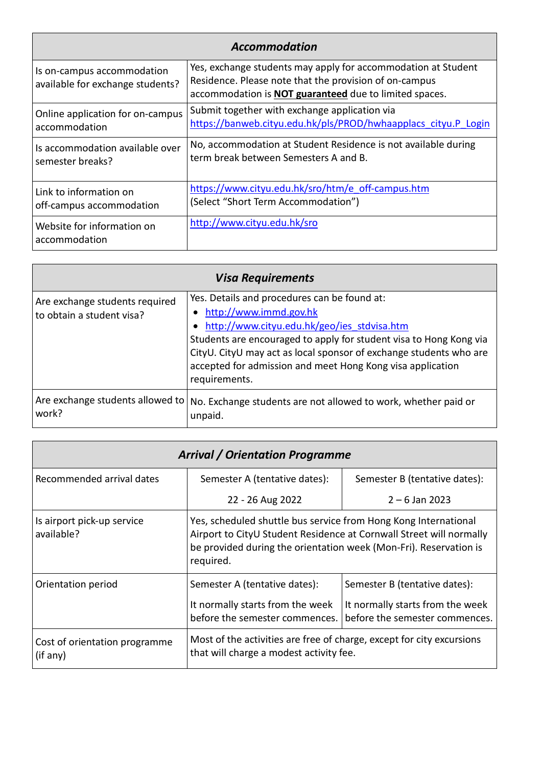## *Accommodation*

| Is on-campus accommodation<br>available for exchange students? | Yes, exchange students may apply for accommodation at Student<br>Residence. Please note that the provision of on-campus<br>accommodation is <b>NOT</b> guaranteed due to limited spaces. |
|----------------------------------------------------------------|------------------------------------------------------------------------------------------------------------------------------------------------------------------------------------------|
| Online application for on-campus                               | Submit together with exchange application via                                                                                                                                            |
| accommodation                                                  | https://banweb.cityu.edu.hk/pls/PROD/hwhaapplacs cityu.P Login                                                                                                                           |
| Is accommodation available over                                | No, accommodation at Student Residence is not available during                                                                                                                           |
| semester breaks?                                               | term break between Semesters A and B.                                                                                                                                                    |
| Link to information on                                         | https://www.cityu.edu.hk/sro/htm/e_off-campus.htm                                                                                                                                        |
| off-campus accommodation                                       | (Select "Short Term Accommodation")                                                                                                                                                      |
| Website for information on<br>accommodation                    | http://www.cityu.edu.hk/sro                                                                                                                                                              |

| <b>Visa Requirements</b>                                    |                                                                                                                                                                                                                                                                                                                                                      |  |
|-------------------------------------------------------------|------------------------------------------------------------------------------------------------------------------------------------------------------------------------------------------------------------------------------------------------------------------------------------------------------------------------------------------------------|--|
| Are exchange students required<br>to obtain a student visa? | Yes. Details and procedures can be found at:<br>• http://www.immd.gov.hk<br>• http://www.cityu.edu.hk/geo/ies stdvisa.htm<br>Students are encouraged to apply for student visa to Hong Kong via<br>CityU. CityU may act as local sponsor of exchange students who are<br>accepted for admission and meet Hong Kong visa application<br>requirements. |  |
| Are exchange students allowed to<br>work?                   | No. Exchange students are not allowed to work, whether paid or<br>unpaid.                                                                                                                                                                                                                                                                            |  |

| <b>Arrival / Orientation Programme</b>    |                                                                                                                                                                                                                          |                                                                    |
|-------------------------------------------|--------------------------------------------------------------------------------------------------------------------------------------------------------------------------------------------------------------------------|--------------------------------------------------------------------|
| Recommended arrival dates                 | Semester A (tentative dates):                                                                                                                                                                                            | Semester B (tentative dates):                                      |
|                                           | 22 - 26 Aug 2022                                                                                                                                                                                                         | $2 - 6$ Jan 2023                                                   |
| Is airport pick-up service<br>available?  | Yes, scheduled shuttle bus service from Hong Kong International<br>Airport to CityU Student Residence at Cornwall Street will normally<br>be provided during the orientation week (Mon-Fri). Reservation is<br>required. |                                                                    |
| Orientation period                        | Semester A (tentative dates):                                                                                                                                                                                            | Semester B (tentative dates):                                      |
|                                           | It normally starts from the week<br>before the semester commences.                                                                                                                                                       | It normally starts from the week<br>before the semester commences. |
| Cost of orientation programme<br>(if any) | Most of the activities are free of charge, except for city excursions<br>that will charge a modest activity fee.                                                                                                         |                                                                    |